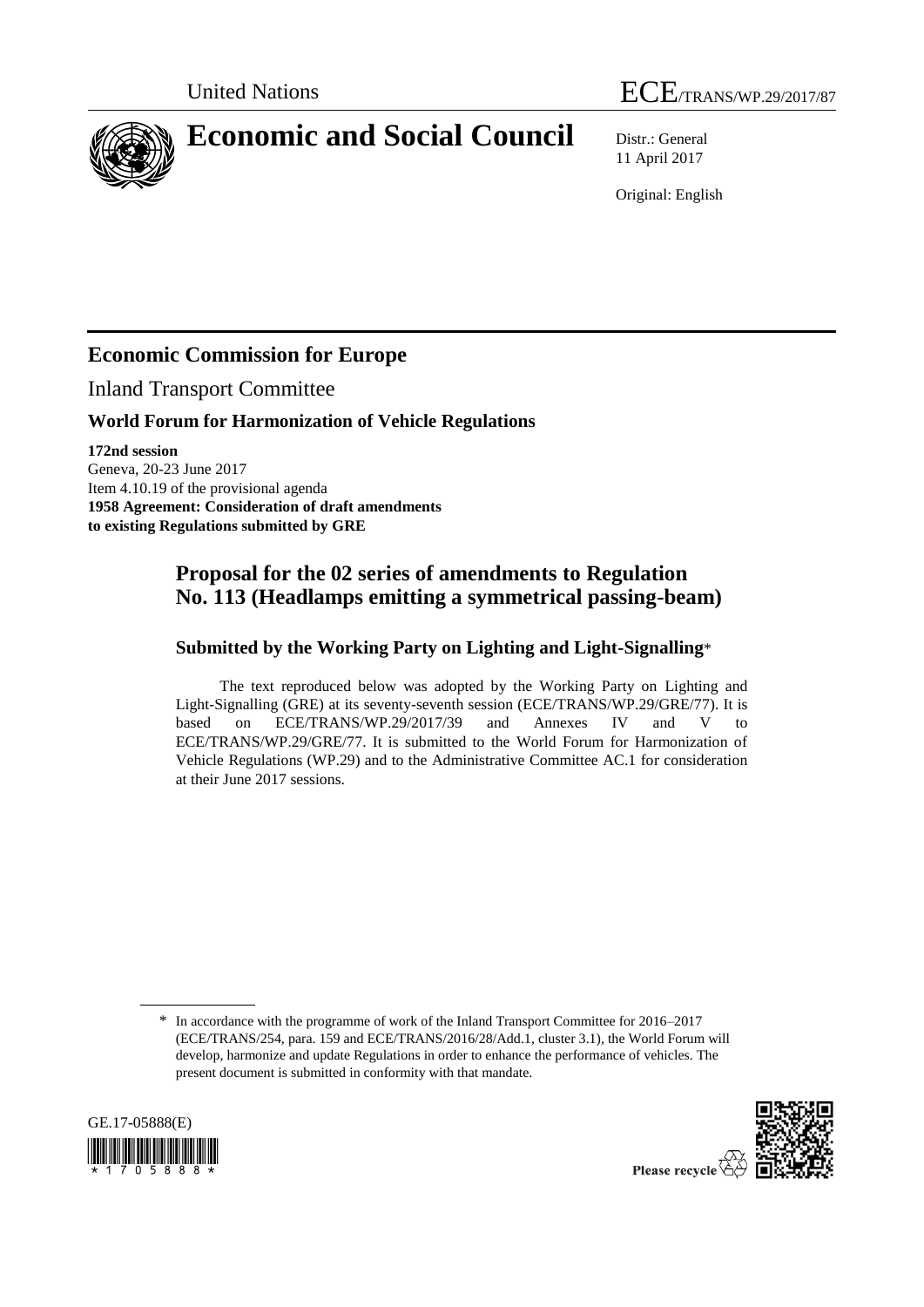



11 April 2017

Original: English

# **Economic Commission for Europe**

Inland Transport Committee

## **World Forum for Harmonization of Vehicle Regulations**

**172nd session** Geneva, 20-23 June 2017 Item 4.10.19 of the provisional agenda **1958 Agreement: Consideration of draft amendments to existing Regulations submitted by GRE**

## **Proposal for the 02 series of amendments to Regulation No. 113 (Headlamps emitting a symmetrical passing-beam)**

#### **Submitted by the Working Party on Lighting and Light-Signalling**\*

The text reproduced below was adopted by the Working Party on Lighting and Light-Signalling (GRE) at its seventy-seventh session (ECE/TRANS/WP.29/GRE/77). It is based on ECE/TRANS/WP.29/2017/39 and Annexes IV and V to ECE/TRANS/WP.29/GRE/77. It is submitted to the World Forum for Harmonization of Vehicle Regulations (WP.29) and to the Administrative Committee AC.1 for consideration at their June 2017 sessions.

<sup>\*</sup> In accordance with the programme of work of the Inland Transport Committee for 2016–2017 (ECE/TRANS/254, para. 159 and ECE/TRANS/2016/28/Add.1, cluster 3.1), the World Forum will develop, harmonize and update Regulations in order to enhance the performance of vehicles. The present document is submitted in conformity with that mandate.



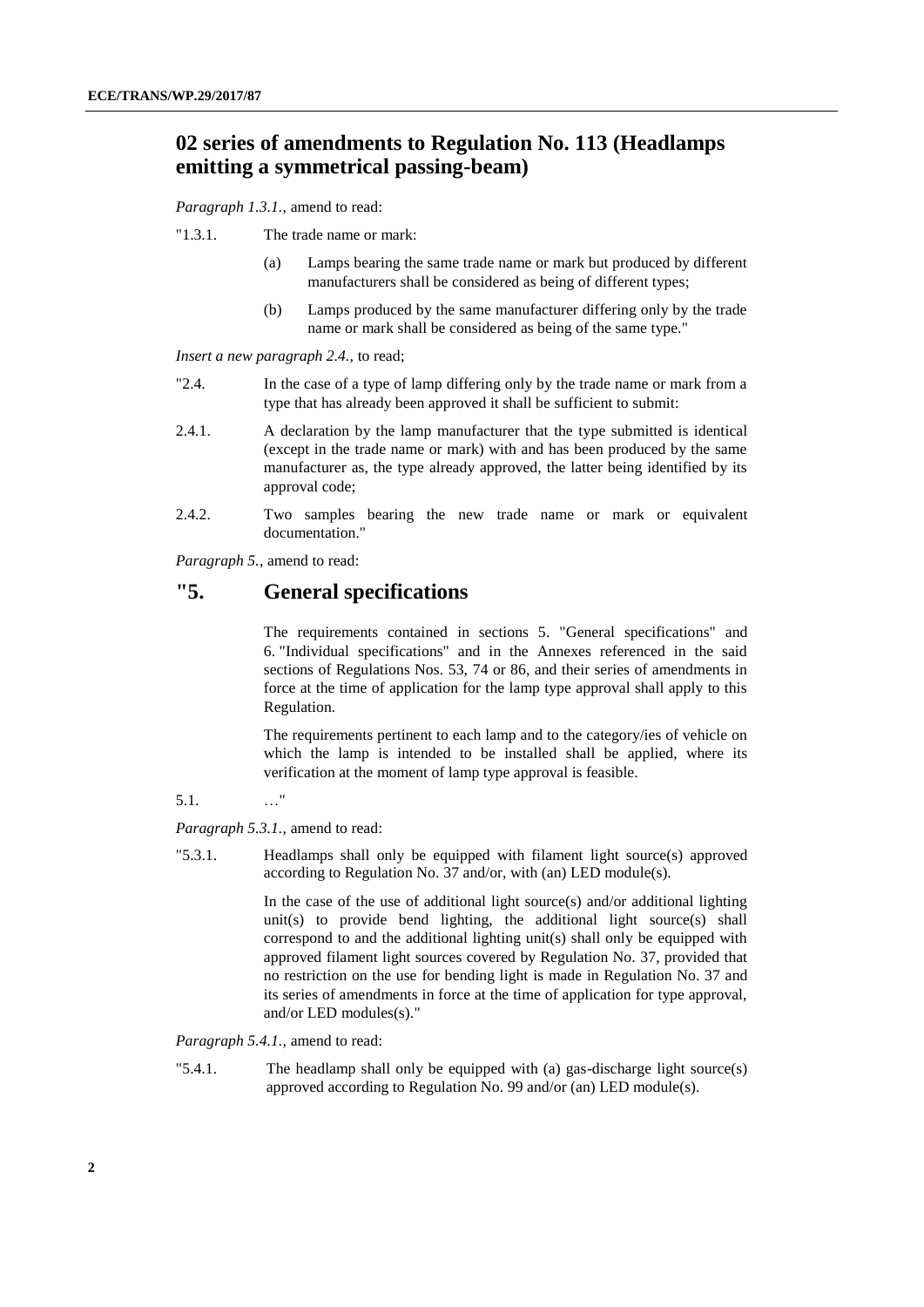## **02 series of amendments to Regulation No. 113 (Headlamps emitting a symmetrical passing-beam)**

*Paragraph 1.3.1.,* amend to read:

- "1.3.1. The trade name or mark:
	- (a) Lamps bearing the same trade name or mark but produced by different manufacturers shall be considered as being of different types;
	- (b) Lamps produced by the same manufacturer differing only by the trade name or mark shall be considered as being of the same type."

*Insert a new paragraph 2.4.,* to read;

- "2.4. In the case of a type of lamp differing only by the trade name or mark from a type that has already been approved it shall be sufficient to submit:
- 2.4.1. A declaration by the lamp manufacturer that the type submitted is identical (except in the trade name or mark) with and has been produced by the same manufacturer as, the type already approved, the latter being identified by its approval code;
- 2.4.2. Two samples bearing the new trade name or mark or equivalent documentation."

*Paragraph 5.*, amend to read:

#### **"5. General specifications**

The requirements contained in sections 5. "General specifications" and 6. "Individual specifications" and in the Annexes referenced in the said sections of Regulations Nos. 53, 74 or 86, and their series of amendments in force at the time of application for the lamp type approval shall apply to this Regulation.

The requirements pertinent to each lamp and to the category/ies of vehicle on which the lamp is intended to be installed shall be applied, where its verification at the moment of lamp type approval is feasible.

5.1. …"

*Paragraph 5.3.1.,* amend to read:

"5.3.1. Headlamps shall only be equipped with filament light source(s) approved according to Regulation No. 37 and/or, with (an) LED module(s).

> In the case of the use of additional light source(s) and/or additional lighting unit(s) to provide bend lighting, the additional light source(s) shall correspond to and the additional lighting unit(s) shall only be equipped with approved filament light sources covered by Regulation No. 37, provided that no restriction on the use for bending light is made in Regulation No. 37 and its series of amendments in force at the time of application for type approval, and/or LED modules(s)."

*Paragraph 5.4.1.,* amend to read:

"5.4.1. The headlamp shall only be equipped with (a) gas-discharge light source(s) approved according to Regulation No. 99 and/or (an) LED module(s).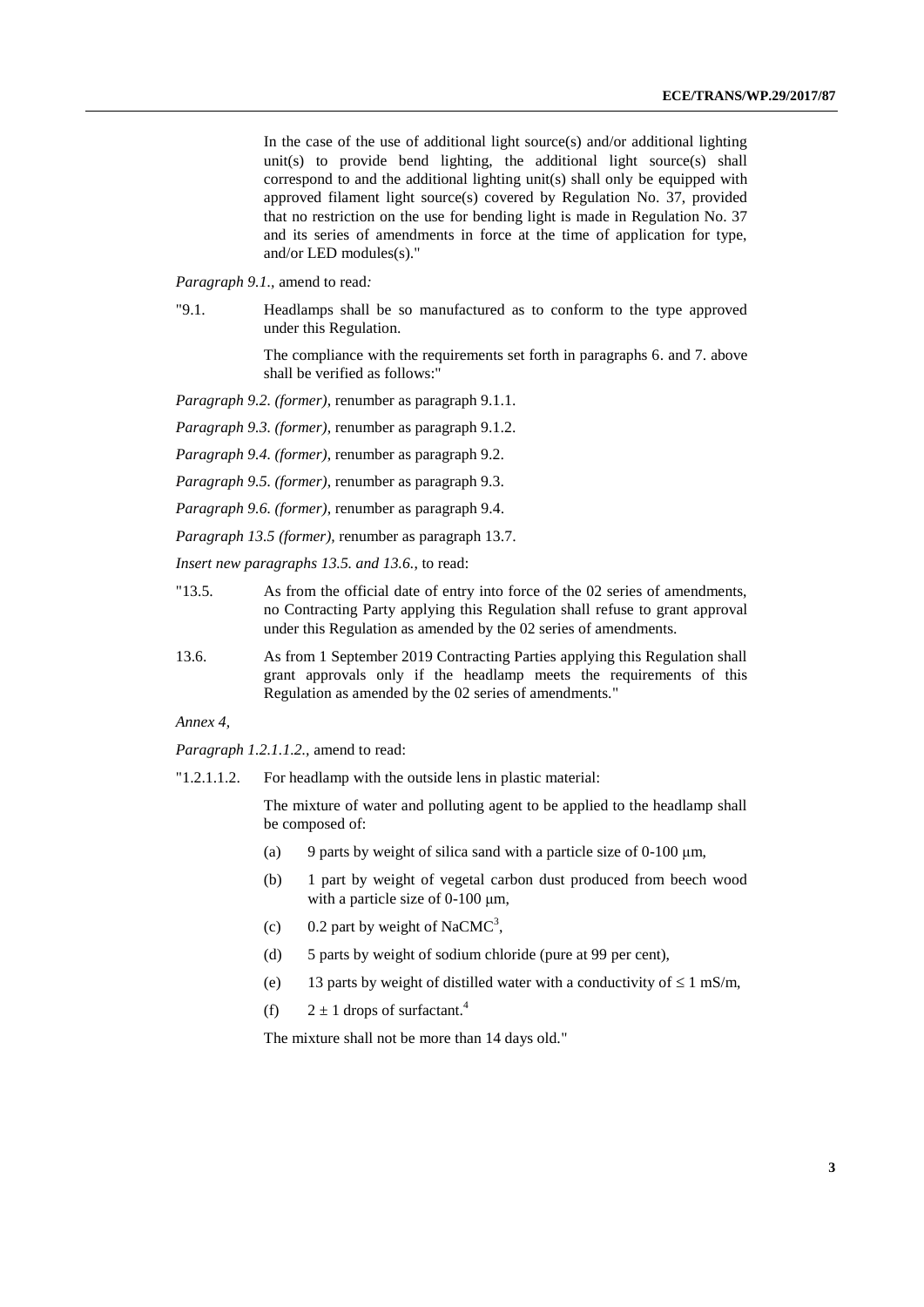In the case of the use of additional light source(s) and/or additional lighting unit(s) to provide bend lighting, the additional light source(s) shall correspond to and the additional lighting unit(s) shall only be equipped with approved filament light source(s) covered by Regulation No. 37, provided that no restriction on the use for bending light is made in Regulation No. 37 and its series of amendments in force at the time of application for type, and/or LED modules(s)."

*Paragraph 9.1.,* amend to read*:*

"9.1. Headlamps shall be so manufactured as to conform to the type approved under this Regulation.

> The compliance with the requirements set forth in paragraphs 6. and 7. above shall be verified as follows:"

*Paragraph 9.2. (former)*, renumber as paragraph 9.1.1.

*Paragraph 9.3. (former)*, renumber as paragraph 9.1.2.

*Paragraph 9.4. (former)*, renumber as paragraph 9.2.

*Paragraph 9.5. (former)*, renumber as paragraph 9.3.

*Paragraph 9.6. (former)*, renumber as paragraph 9.4.

*Paragraph 13.5 (former),* renumber as paragraph 13.7.

*Insert new paragraphs 13.5. and 13.6.*, to read:

- "13.5. As from the official date of entry into force of the 02 series of amendments, no Contracting Party applying this Regulation shall refuse to grant approval under this Regulation as amended by the 02 series of amendments.
- 13.6. As from 1 September 2019 Contracting Parties applying this Regulation shall grant approvals only if the headlamp meets the requirements of this Regulation as amended by the 02 series of amendments."

*Annex 4,* 

*Paragraph 1.2.1.1.2.,* amend to read:

"1.2.1.1.2. For headlamp with the outside lens in plastic material:

The mixture of water and polluting agent to be applied to the headlamp shall be composed of:

- (a) 9 parts by weight of silica sand with a particle size of  $0-100 \mu m$ ,
- (b) 1 part by weight of vegetal carbon dust produced from beech wood with a particle size of 0-100 μm,
- (c)  $0.2$  part by weight of NaCMC<sup>3</sup>,
- (d) 5 parts by weight of sodium chloride (pure at 99 per cent),
- (e) 13 parts by weight of distilled water with a conductivity of  $\leq 1$  mS/m,
- (f)  $2 \pm 1$  drops of surfactant.<sup>4</sup>

The mixture shall not be more than 14 days old."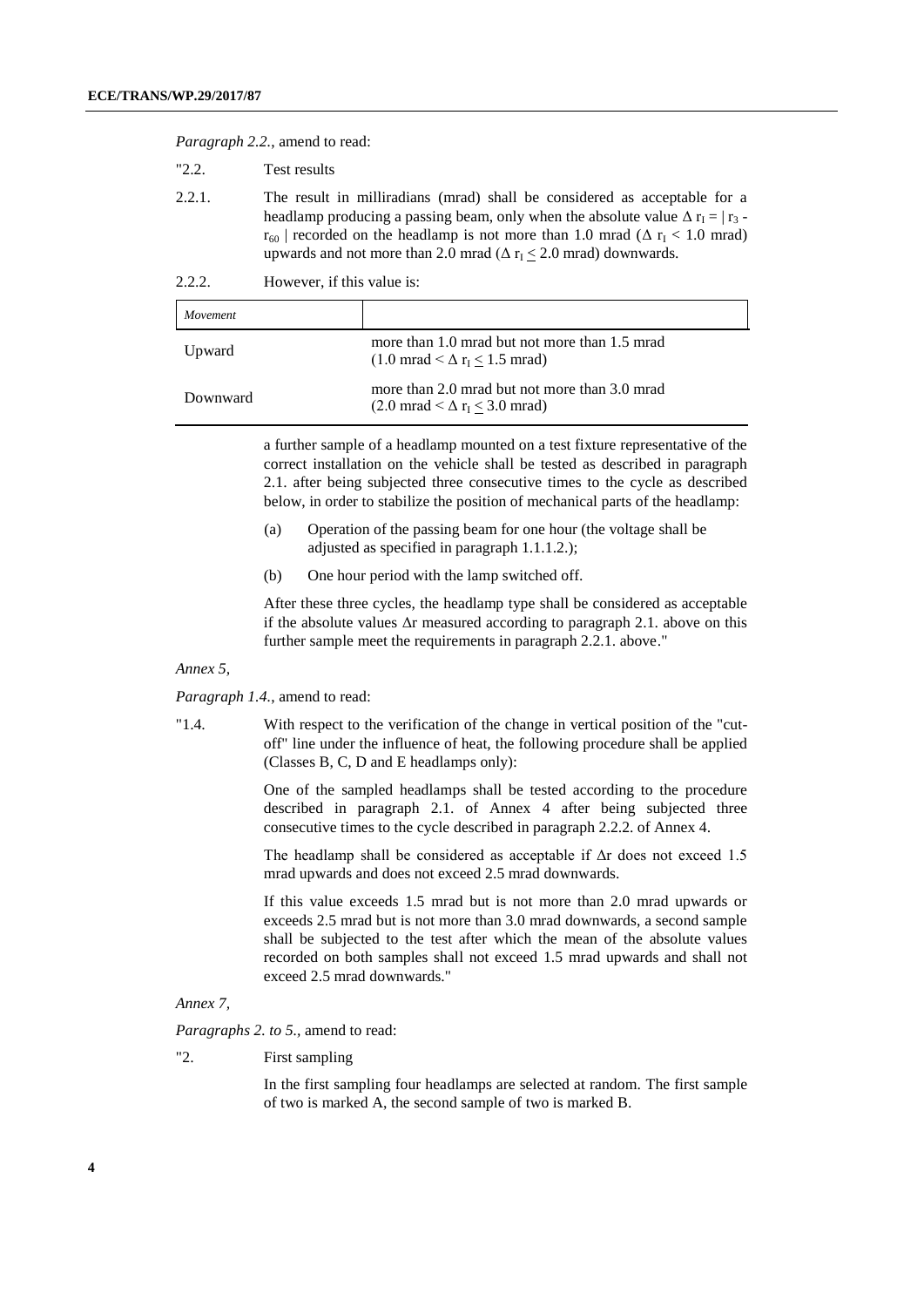| <i>Paragraph 2.2.</i> , amend to read: |                                                                                                                                                                                                                                                                                                                                                           |                                                                                                       |
|----------------------------------------|-----------------------------------------------------------------------------------------------------------------------------------------------------------------------------------------------------------------------------------------------------------------------------------------------------------------------------------------------------------|-------------------------------------------------------------------------------------------------------|
| "2.2.                                  | Test results                                                                                                                                                                                                                                                                                                                                              |                                                                                                       |
| 2.2.1.                                 | The result in milliradians (mrad) shall be considered as acceptable for a<br>headlamp producing a passing beam, only when the absolute value $\Delta r_1 =  r_3 - \Delta r_2 $<br>$r_{60}$   recorded on the headlamp is not more than 1.0 mrad ( $\Delta r_I < 1.0$ mrad)<br>upwards and not more than 2.0 mrad ( $\Delta r_I \leq 2.0$ mrad) downwards. |                                                                                                       |
| 2.2.2.                                 | However, if this value is:                                                                                                                                                                                                                                                                                                                                |                                                                                                       |
| Movement                               |                                                                                                                                                                                                                                                                                                                                                           |                                                                                                       |
| Upward                                 |                                                                                                                                                                                                                                                                                                                                                           | more than 1.0 mrad but not more than 1.5 mrad<br>$(1.0 \text{ mrad} < \Delta r_I < 1.5 \text{ mrad})$ |
| Downward                               |                                                                                                                                                                                                                                                                                                                                                           | more than 2.0 mrad but not more than 3.0 mrad<br>$(2.0 \text{ mrad} < \Delta r_I < 3.0 \text{ mrad})$ |

a further sample of a headlamp mounted on a test fixture representative of the correct installation on the vehicle shall be tested as described in paragraph 2.1. after being subjected three consecutive times to the cycle as described below, in order to stabilize the position of mechanical parts of the headlamp:

- (a) Operation of the passing beam for one hour (the voltage shall be adjusted as specified in paragraph 1.1.1.2.);
- (b) One hour period with the lamp switched off.

After these three cycles, the headlamp type shall be considered as acceptable if the absolute values  $\Delta r$  measured according to paragraph 2.1. above on this further sample meet the requirements in paragraph 2.2.1. above."

#### *Annex 5,*

*Paragraph 1.4.*, amend to read:

"1.4. With respect to the verification of the change in vertical position of the "cutoff" line under the influence of heat, the following procedure shall be applied (Classes B, C, D and E headlamps only):

> One of the sampled headlamps shall be tested according to the procedure described in paragraph 2.1. of Annex 4 after being subjected three consecutive times to the cycle described in paragraph 2.2.2. of Annex 4.

> The headlamp shall be considered as acceptable if Δr does not exceed 1.5 mrad upwards and does not exceed 2.5 mrad downwards.

> If this value exceeds 1.5 mrad but is not more than 2.0 mrad upwards or exceeds 2.5 mrad but is not more than 3.0 mrad downwards, a second sample shall be subjected to the test after which the mean of the absolute values recorded on both samples shall not exceed 1.5 mrad upwards and shall not exceed 2.5 mrad downwards."

#### *Annex 7,*

*Paragraphs 2. to 5.,* amend to read:

"2. First sampling

In the first sampling four headlamps are selected at random. The first sample of two is marked A, the second sample of two is marked B.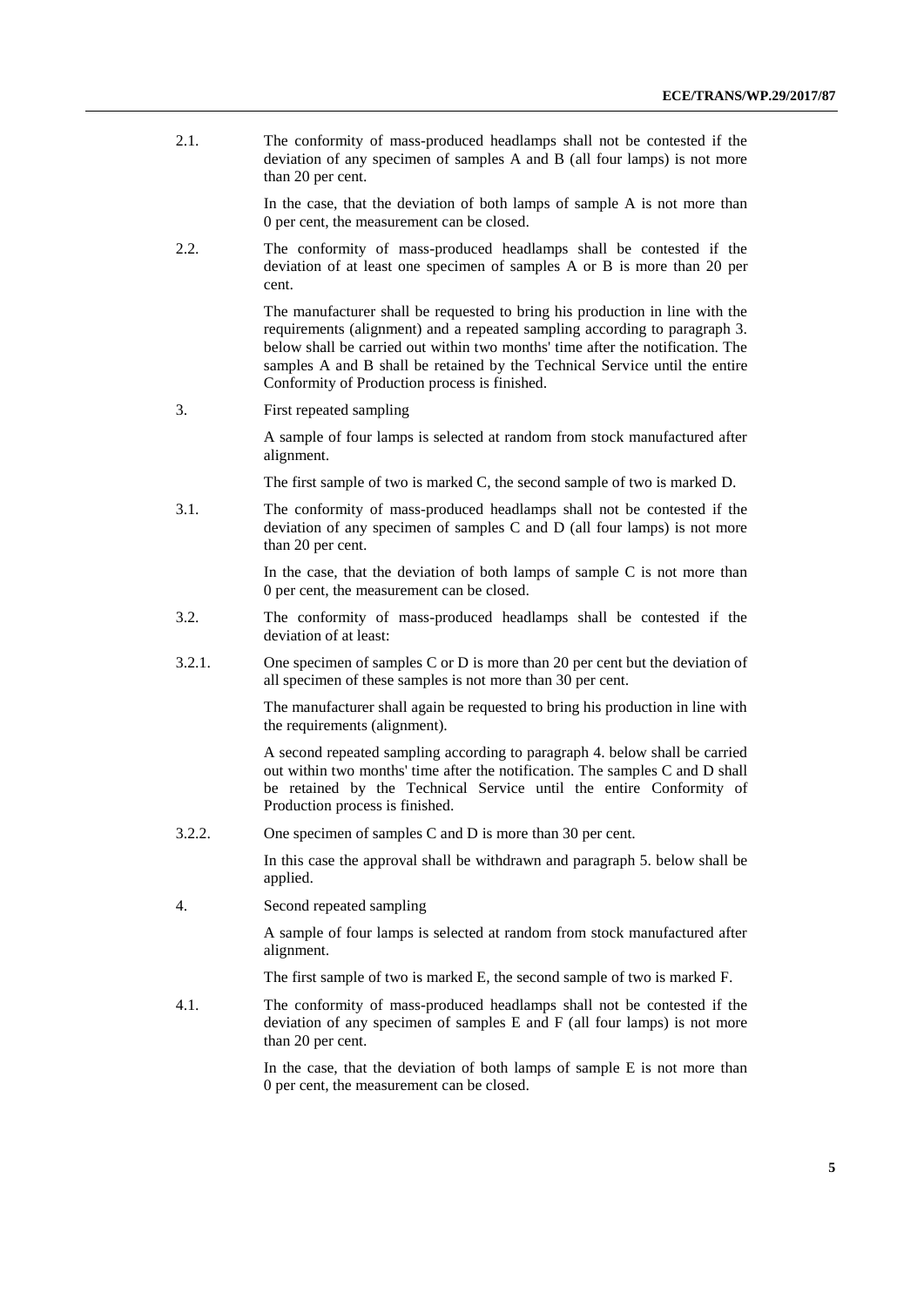2.1. The conformity of mass-produced headlamps shall not be contested if the deviation of any specimen of samples A and B (all four lamps) is not more than 20 per cent.

> In the case, that the deviation of both lamps of sample A is not more than 0 per cent, the measurement can be closed.

2.2. The conformity of mass-produced headlamps shall be contested if the deviation of at least one specimen of samples A or B is more than 20 per cent.

> The manufacturer shall be requested to bring his production in line with the requirements (alignment) and a repeated sampling according to paragraph 3. below shall be carried out within two months' time after the notification. The samples A and B shall be retained by the Technical Service until the entire Conformity of Production process is finished.

3. First repeated sampling

A sample of four lamps is selected at random from stock manufactured after alignment.

The first sample of two is marked C, the second sample of two is marked D.

3.1. The conformity of mass-produced headlamps shall not be contested if the deviation of any specimen of samples C and D (all four lamps) is not more than 20 per cent.

> In the case, that the deviation of both lamps of sample  $C$  is not more than 0 per cent, the measurement can be closed.

- 3.2. The conformity of mass-produced headlamps shall be contested if the deviation of at least:
- 3.2.1. One specimen of samples C or D is more than 20 per cent but the deviation of all specimen of these samples is not more than 30 per cent.

The manufacturer shall again be requested to bring his production in line with the requirements (alignment).

A second repeated sampling according to paragraph 4. below shall be carried out within two months' time after the notification. The samples C and D shall be retained by the Technical Service until the entire Conformity of Production process is finished.

3.2.2. One specimen of samples C and D is more than 30 per cent.

In this case the approval shall be withdrawn and paragraph 5. below shall be applied.

4. Second repeated sampling

A sample of four lamps is selected at random from stock manufactured after alignment.

The first sample of two is marked E, the second sample of two is marked F.

4.1. The conformity of mass-produced headlamps shall not be contested if the deviation of any specimen of samples E and F (all four lamps) is not more than 20 per cent.

> In the case, that the deviation of both lamps of sample  $E$  is not more than 0 per cent, the measurement can be closed.